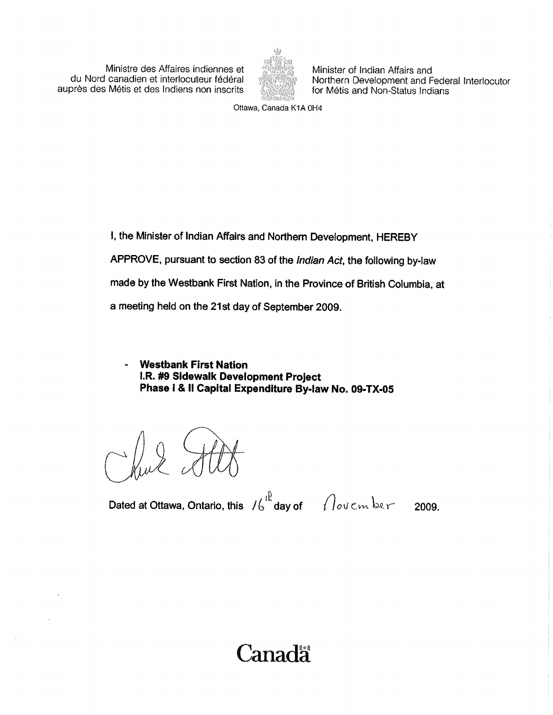Ministre des Affaires indiennes et Minister of Indian Affairs and<br>du Nord canadien et interlocuteur fédéral Morthern Development and F auprès des Métis et des Indiens non inscrits



Northern Development and Federal Interlocutor<br>for Métis and Non-Status Indians

Ottawa, Canada K1A 0H4

1, the Minister of Indian Affairs and Northern Development, HEREBY APPROVE, pursuant to section 83 of the Indian Act, the following by-law made by the Westbank First Nation, in the Province of British Columbia, at a meeting held on the 21st day of September 2009.

**Westbank First Nation** I.R. #9 Sidewalk Development Project Phase I & II Capital Expenditure By-law No. 09-TX-05

chul ?

Dated at Ottawa, Ontario, this  $16 \frac{R}{\pi}$ day of  $\pi$  ovember 2009.

Canadä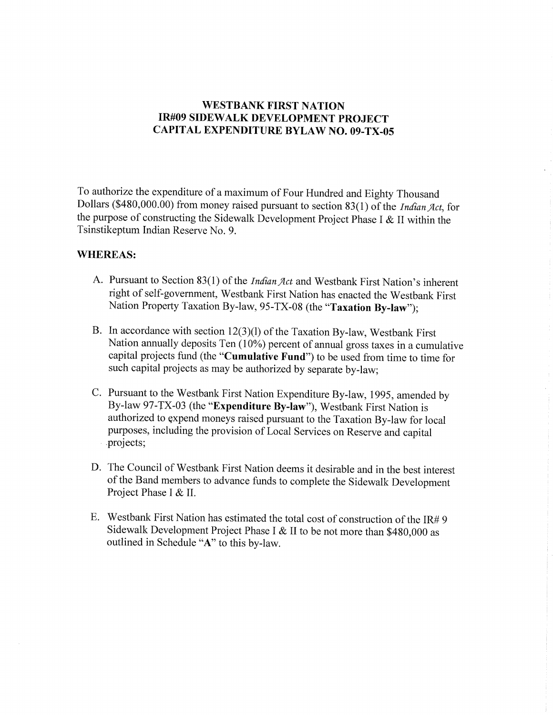### WESTBANK FIRST NATION IR#09 SIDEWALK DEVELOPMENT PROJECT CAPITAL EXPENDITURE BYLAW NO. 09-TX-05

To authorize the expenditure of a maximum of Four Hundred and Eighty Thousand To authorize the expenditure of a maximum of Four Hundred and Eighty Thousand<br>Dollars (\$480,000.00) from money raised pursuant to section 83(1) of the *Indian Act*, for<br>the purpose of constructing the Sidewalk Development the purpose of constructing the Sidewalk Development Project Phase I & II within the Tsinstikeptum Indian Reserve No. 9.

### WHEREAS:

- A. Pursuant to Section 83(1) of the *Indian Act* and Westbank First Nation's inherent right of self-government, Westbank First Nation has enacted the Westbank First Nation Property Taxation By-law, 95-TX-08 (the "Taxation By-law"):
- B. In accordance with section  $12(3)(1)$  of the Taxation By-law, Westbank First Nation annually deposits Ten  $(10\%)$  percent of annual gross taxes in a cumulative capital projects fund (the "Cumulative Fund") to be used from time to time for such capital projects as may be authorized by separate by -law;
- C. Pursuant to the Westbank First Nation Expenditure By -law, 1995, amended by By-law 97-TX-03 (the "Expenditure By-law"), Westbank First Nation is authorized to gxpend moneys raised pursuant to the Taxation By -law for local purposes, including the provision of Local Services on Reserve and capital projects;
- D. The Council of Westbank First Nation deems it desirable and in the best interest of the Band members to advance funds to complete the Sidewalk Development Project Phase I & II.
- E. Westbank First Nation has estimated the total cost of construction of the IR#9 Sidewalk Development Project Phase I & II to be not more than \$480,000 as outlined in Schedule "A" to this by-law.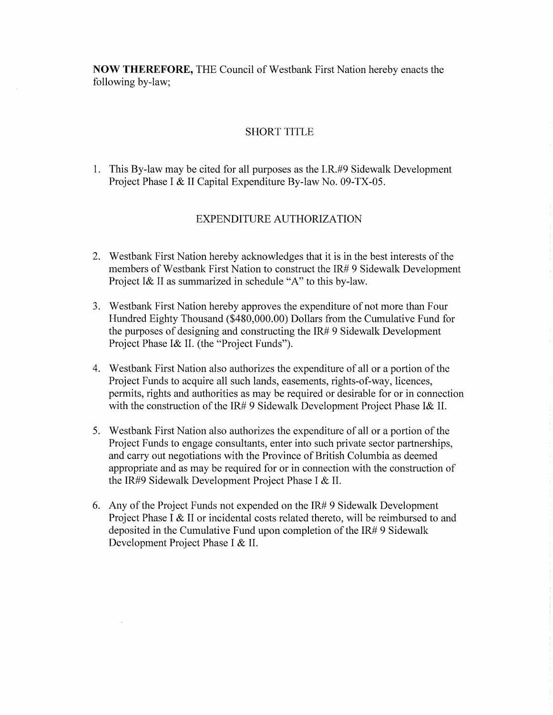Now THEREFORE, THE Council of Westbank First Nation hereby enacts the following by-law;

### SHORT TITLE

1. This By -law may be cited for all purposes as the I.R. #9 Sidewalk Development Project Phase I & II Capital Expenditure By-law No. 09-TX-05.

### EXPENDITURE AUTHORIZATION

- 2. Westbank First Nation hereby acknowledges that it is in the best interests of the members of Westbank First Nation to construct the IR# 9 Sidewalk Development Westbank First Nation nereby acknowledges that it is in the<br>members of Westbank First Nation to construct the IR#9 Sic<br>Project I& II as summarized in schedule "A" to this by-law.
- 3. Westbank First Nation hereby approves the expenditure of not more than Four Project I& II as summarized in schedule "A" to this by-law.<br>Westbank First Nation hereby approves the expenditure of not more than Four<br>Hundred Eighty Thousand (\$480,000.00) Dollars from the Cumulative Fund for<br>the purpose the purposes of designing and constructing the IR# 9 Sidewalk Development Hundred Eighty Thousand (\$480,000.00) Dollars from the Cumulative Fund for the purposes of designing and constructing the  $IR#9$  Sidewalk Development Project Phase I& II. (the "Project Funds").
- 4. Westbank First Nation also authorizes the expenditure of all or <sup>a</sup> portion of the Project Funds to acquire all such lands, easements, rights-of-way, licences, permits, rights and authorities as may be required or desirable for or in connection with the construction of the IR# 9 Sidewalk Development Project Phase I& II.
- 5. Westbank First Nation also authorizes the expenditure of all or <sup>a</sup> portion of the Project Funds to engage consultants, enter into such private sector partnerships, and carry out negotiations with the Province of British Columbia as deemed appropriate and as may be required for or in connection with the construction of the IR #9 Sidewalk Development Project Phase I & II.
- 6. Any of the Project Funds not expended on the IR# 9 Sidewalk Development Project Phase I & II or incidental costs related thereto, will be reimbursed to and deposited in the Cumulative Fund upon completion of the IR# 9 Sidewalk Development Project Phase I & II.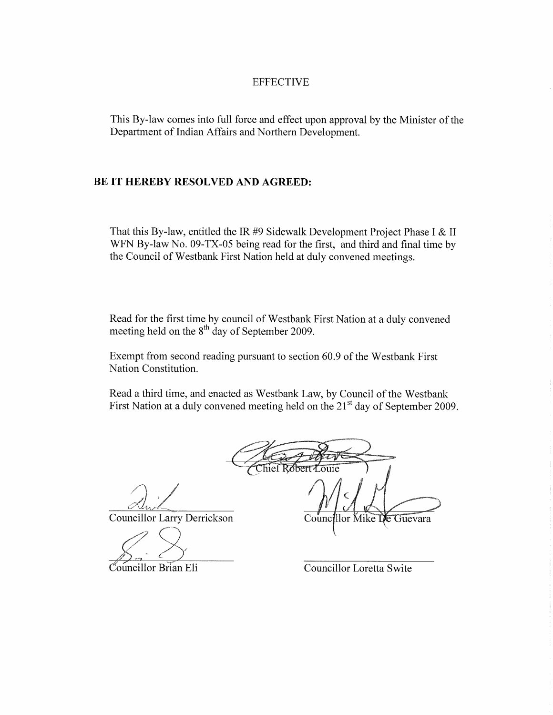### EFFECTIVE

This By-law comes into full force and effect upon approval by the Minister of the Department of Indian Affairs and Northern Development.

#### BE IT HEREBY RESOLVED AND AGREED:

That this By-law, entitled the IR #9 Sidewalk Development Project Phase I & II WFN By-law No. 09-TX-05 being read for the first, and third and final time by the Council of Westbank First Nation held at duly convened meetings.

Read for the first time by council of Westbank First Nation at <sup>a</sup> duly convened meeting held on the 8<sup>th</sup> day of September 2009.

Exempt from second reading pursuant to section 60.9 of the Westbank First Nation Constitution.

Read a third time, and enacted as Westbank Law, by Council of the Westbank First Nation at a duly convened meeting held on the 21<sup>st</sup> day of September 2009.

 $\widehat{\text{The f R} \delta}$ bert

Councillor Larry Derrickson

 $\sum'_{i}$ 

Councillor Brian Eli

Councillor Loretta Swite

Councillor Mike De Guevara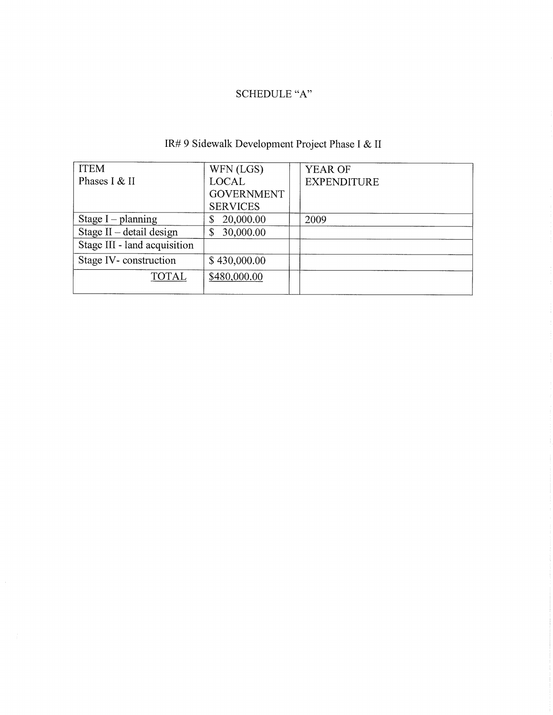## SCHEDULE "A"

| <b>ITEM</b>                  | WFN (LGS)         | <b>YEAR OF</b>     |  |
|------------------------------|-------------------|--------------------|--|
| Phases I & II                | <b>LOCAL</b>      | <b>EXPENDITURE</b> |  |
|                              | <b>GOVERNMENT</b> |                    |  |
|                              | <b>SERVICES</b>   |                    |  |
| Stage $I$ – planning         | 20,000.00<br>\$   | 2009               |  |
| Stage $II$ – detail design   | 30,000.00<br>\$   |                    |  |
| Stage III - land acquisition |                   |                    |  |
| Stage IV-construction        | \$430,000.00      |                    |  |
| <b>TOTAL</b>                 | \$480,000.00      |                    |  |
|                              |                   |                    |  |

# IR# 9 Sidewalk Development Project Phase I & II